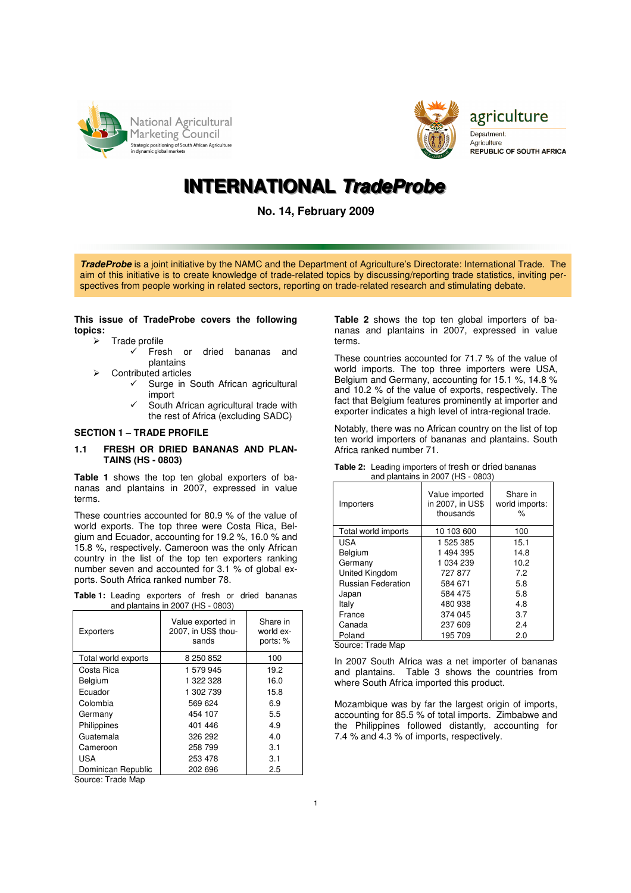



Department: Agriculture **REPUBLIC OF SOUTH AFRICA** 

agriculture

# **IINTERNATIIONAL TradeProbe**

**No. 14, February 2009**

**TradeProbe** is a joint initiative by the NAMC and the Department of Agriculture's Directorate: International Trade. The aim of this initiative is to create knowledge of trade-related topics by discussing/reporting trade statistics, inviting perspectives from people working in related sectors, reporting on trade-related research and stimulating debate.

## **This issue of TradeProbe covers the following topics:**

- $\triangleright$  Trade profile
	- $\checkmark$  Fresh or dried bananas and plantains
- Contributed articles
	- $\checkmark$  Surge in South African agricultural import
	- $\checkmark$  South African agricultural trade with the rest of Africa (excluding SADC)

# **SECTION 1 – TRADE PROFILE**

#### **1.1 FRESH OR DRIED BANANAS AND PLAN-TAINS (HS - 0803)**

**Table 1** shows the top ten global exporters of bananas and plantains in 2007, expressed in value terme

These countries accounted for 80.9 % of the value of world exports. The top three were Costa Rica, Belgium and Ecuador, accounting for 19.2 %, 16.0 % and 15.8 %, respectively. Cameroon was the only African country in the list of the top ten exporters ranking number seven and accounted for 3.1 % of global exports. South Africa ranked number 78.

|  | Table 1: Leading exporters of fresh or dried bananas |  |  |  |
|--|------------------------------------------------------|--|--|--|
|  | and plantains in 2007 (HS - 0803)                    |  |  |  |

| Exporters           | Value exported in<br>2007, in US\$ thou-<br>sands | Share in<br>world ex-<br>ports: % |  |
|---------------------|---------------------------------------------------|-----------------------------------|--|
| Total world exports | 8 250 852                                         | 100                               |  |
| Costa Rica          | 1579945                                           | 19.2                              |  |
| Belgium             | 1 322 328                                         | 16.0                              |  |
| Ecuador             | 1 302 739                                         | 15.8                              |  |
| Colombia            | 569 624                                           | 6.9                               |  |
| Germany             | 454 107                                           | 5.5                               |  |
| Philippines         | 401 446                                           | 4.9                               |  |
| Guatemala           | 326 292                                           | 4.0                               |  |
| Cameroon            | 258 799                                           | 3.1                               |  |
| USA                 | 253 478                                           | 3.1                               |  |
| Dominican Republic  | 202 696                                           | 2.5                               |  |

Source: Trade Map

**Table 2** shows the top ten global importers of bananas and plantains in 2007, expressed in value terms.

These countries accounted for 71.7 % of the value of world imports. The top three importers were USA, Belgium and Germany, accounting for 15.1 %, 14.8 % and 10.2 % of the value of exports, respectively. The fact that Belgium features prominently at importer and exporter indicates a high level of intra-regional trade.

Notably, there was no African country on the list of top ten world importers of bananas and plantains. South Africa ranked number 71.

| Importers                 | Value imported<br>in 2007, in US\$<br>thousands | Share in<br>world imports:<br>% |
|---------------------------|-------------------------------------------------|---------------------------------|
| Total world imports       | 10 103 600                                      | 100                             |
| USA                       | 1 525 385                                       | 15.1                            |
| Belgium                   | 1494395                                         | 14.8                            |
| Germany                   | 1 034 239                                       | 10.2                            |
| United Kingdom            | 727877                                          | 7.2                             |
| <b>Russian Federation</b> | 584 671                                         | 5.8                             |
| Japan                     | 584 475                                         | 5.8                             |
| Italy                     | 480 938                                         | 4.8                             |
| France                    | 374 045                                         | 3.7                             |
| Canada                    | 237 609                                         | 2.4                             |
| Poland                    | 195 709                                         | 2.0                             |

**Table 2:** Leading importers of fresh or dried bananas and plantains in 2007 (HS - 0803)

Source: Trade Map

In 2007 South Africa was a net importer of bananas and plantains. Table 3 shows the countries from where South Africa imported this product.

Mozambique was by far the largest origin of imports, accounting for 85.5 % of total imports. Zimbabwe and the Philippines followed distantly, accounting for 7.4 % and 4.3 % of imports, respectively.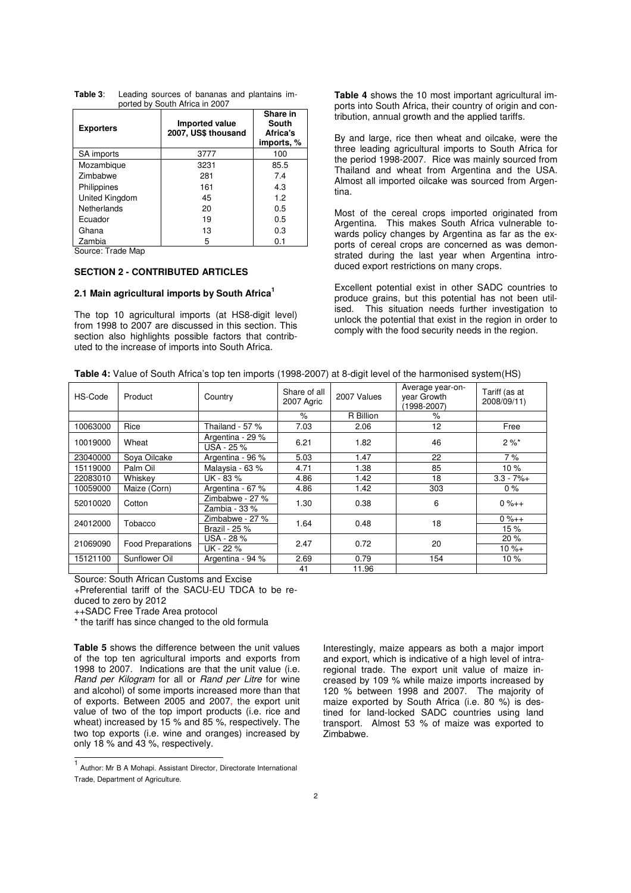| <b>Exporters</b>   | Imported value<br>2007, US\$ thousand | Share in<br>South<br>Africa's<br>imports, % |  |
|--------------------|---------------------------------------|---------------------------------------------|--|
| SA imports         | 3777                                  | 100                                         |  |
| Mozambique         | 3231                                  | 85.5                                        |  |
| Zimbabwe           | 281                                   | 7.4                                         |  |
| Philippines        | 161                                   | 4.3                                         |  |
| United Kingdom     | 45                                    | 1.2                                         |  |
| <b>Netherlands</b> | 20                                    | 0.5                                         |  |
| Ecuador            | 19                                    | 0.5                                         |  |
| Ghana              | 13                                    | 0.3                                         |  |
| Zambia             | 5                                     | 0.1                                         |  |

**Table 3**: Leading sources of bananas and plantains im ported by South Africa in 2007

Source: Trade Map

# **SECTION 2 - CONTRIBUTED ARTICLES**

#### **2.1 Main agricultural imports by South Africa<sup>1</sup>**

The top 10 agricultural imports (at HS8-digit level) from 1998 to 2007 are discussed in this section. This section also highlights possible factors that contributed to the increase of imports into South Africa.

**Table 4** shows the 10 most important agricultural imports into South Africa, their country of origin and contribution, annual growth and the applied tariffs.

By and large, rice then wheat and oilcake, were the three leading agricultural imports to South Africa for the period 1998-2007. Rice was mainly sourced from Thailand and wheat from Argentina and the USA. Almost all imported oilcake was sourced from Argentina.

Most of the cereal crops imported originated from Argentina. This makes South Africa vulnerable towards policy changes by Argentina as far as the exports of cereal crops are concerned as was demonstrated during the last year when Argentina introduced export restrictions on many crops.

Excellent potential exist in other SADC countries to produce grains, but this potential has not been utilised. This situation needs further investigation to unlock the potential that exist in the region in order to comply with the food security needs in the region.

|  | <b>Table 4:</b> Value of South Africa's top ten imports (1998-2007) at 8-digit level of the harmonised system (HS) |  |
|--|--------------------------------------------------------------------------------------------------------------------|--|
|  |                                                                                                                    |  |

| HS-Code  | Product                  | Country                                     | Share of all<br>2007 Agric | 2007 Values | Average year-on-<br>year Growth<br>(1998-2007) | Tariff (as at<br>2008/09/11) |
|----------|--------------------------|---------------------------------------------|----------------------------|-------------|------------------------------------------------|------------------------------|
|          |                          |                                             | $\%$                       | R Billion   | $\%$                                           |                              |
| 10063000 | Rice                     | Thailand - 57 %                             | 7.03                       | 2.06        | 12                                             | Free                         |
| 10019000 | Wheat                    | Argentina - 29 %<br>$\overline{USA}$ - 25 % | 6.21                       | 1.82        | 46                                             | $2 \%$ *                     |
| 23040000 | Sova Oilcake             | Argentina - 96 %                            | 5.03                       | 1.47        | 22                                             | 7%                           |
| 15119000 | Palm Oil                 | Malaysia - 63 %                             | 4.71                       | 1.38        | 85                                             | 10%                          |
| 22083010 | Whiskey                  | UK - 83 %                                   | 4.86                       | 1.42        | 18                                             | $3.3 - 7% +$                 |
| 10059000 | Maize (Corn)             | Argentina - 67 %                            | 4.86                       | 1.42        | 303                                            | $0\%$                        |
| 52010020 | Cotton                   | Zimbabwe - 27 %<br>Zambia - 33 %            | 1.30                       | 0.38        | 6                                              | $0 \% + +$                   |
|          |                          | Zimbabwe - 27 %                             | 1.64                       | 0.48        | 18                                             | $0 \% + +$                   |
| 24012000 | Tobacco                  | Brazil - 25 %                               |                            |             |                                                | 15%                          |
| 21069090 | <b>Food Preparations</b> | USA - 28 %                                  | 2.47                       | 0.72        | 20                                             | 20%                          |
|          |                          | UK - 22 %                                   |                            |             |                                                | $10 \% +$                    |
| 15121100 | Sunflower Oil            | Argentina - 94 %                            | 2.69                       | 0.79        | 154                                            | 10%                          |
|          |                          |                                             | 41                         | 11.96       |                                                |                              |

Source: South African Customs and Excise

+Preferential tariff of the SACU-EU TDCA to be re-

duced to zero by 2012

++SADC Free Trade Area protocol

\* the tariff has since changed to the old formula

**Table 5** shows the difference between the unit values of the top ten agricultural imports and exports from 1998 to 2007. Indications are that the unit value (i.e. Rand per Kilogram for all or Rand per Litre for wine and alcohol) of some imports increased more than that of exports. Between 2005 and 2007, the export unit value of two of the top import products (i.e. rice and wheat) increased by 15 % and 85 %, respectively. The two top exports (i.e. wine and oranges) increased by only 18 % and 43 %, respectively.

Interestingly, maize appears as both a major import and export, which is indicative of a high level of intraregional trade. The export unit value of maize increased by 109 % while maize imports increased by 120 % between 1998 and 2007. The majority of maize exported by South Africa (i.e. 80 %) is destined for land-locked SADC countries using land transport. Almost 53 % of maize was exported to Zimbabwe.

 1 Author: Mr B A Mohapi. Assistant Director, Directorate International Trade, Department of Agriculture.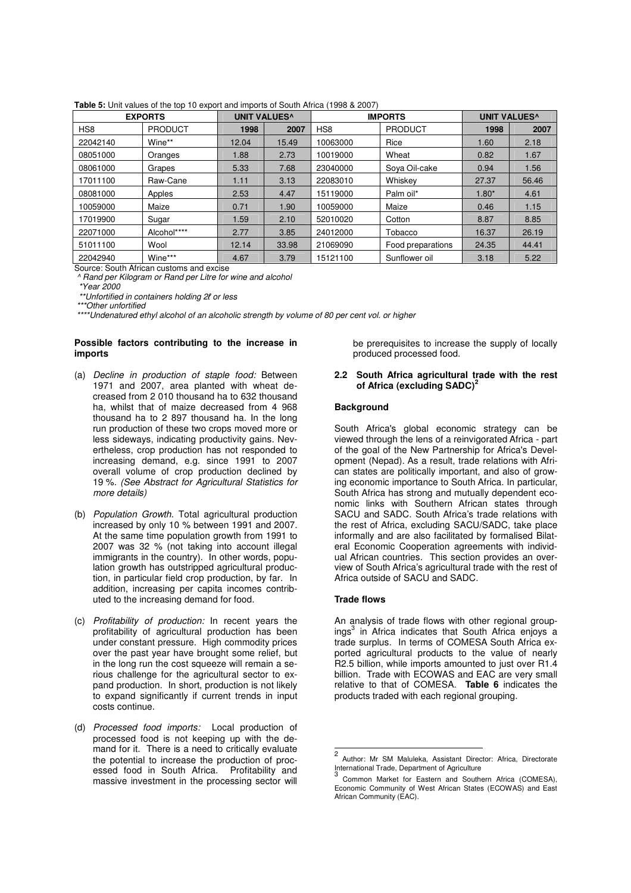| <b>EXPORTS</b> |                | <b>UNIT VALUES^</b> |       | <b>IMPORTS</b>  |                   | <b>UNIT VALUES^</b> |       |
|----------------|----------------|---------------------|-------|-----------------|-------------------|---------------------|-------|
| HS8            | <b>PRODUCT</b> | 1998                | 2007  | HS <sub>8</sub> | <b>PRODUCT</b>    | 1998                | 2007  |
| 22042140       | Wine**         | 12.04               | 15.49 | 10063000        | Rice              | 1.60                | 2.18  |
| 08051000       | Oranges        | 1.88                | 2.73  | 10019000        | Wheat             | 0.82                | 1.67  |
| 08061000       | Grapes         | 5.33                | 7.68  | 23040000        | Sova Oil-cake     | 0.94                | 1.56  |
| 17011100       | Raw-Cane       | 1.11                | 3.13  | 22083010        | Whiskev           | 27.37               | 56.46 |
| 08081000       | Apples         | 2.53                | 4.47  | 15119000        | Palm oil*         | $1.80*$             | 4.61  |
| 10059000       | Maize          | 0.71                | 1.90  | 10059000        | Maize             | 0.46                | 1.15  |
| 17019900       | Sugar          | 1.59                | 2.10  | 52010020        | Cotton            | 8.87                | 8.85  |
| 22071000       | Alcohol****    | 2.77                | 3.85  | 24012000        | Tobacco           | 16.37               | 26.19 |
| 51011100       | Wool           | 12.14               | 33.98 | 21069090        | Food preparations | 24.35               | 44.41 |
| 22042940       | Wine***        | 4.67                | 3.79  | 15121100        | Sunflower oil     | 3.18                | 5.22  |

**Table 5:** Unit values of the top 10 export and imports of South Africa (1998 & 2007)

Source: South African customs and excise

^ Rand per Kilogram or Rand per Litre for wine and alcohol

\*Year 2000

\*\*Unfortified in containers holding 2ℓ or less

\*\*\*Other unfortified

\*\*\*\*Undenatured ethyl alcohol of an alcoholic strength by volume of 80 per cent vol. or higher

## **Possible factors contributing to the increase in imports**

- (a) Decline in production of staple food: Between 1971 and 2007, area planted with wheat decreased from 2 010 thousand ha to 632 thousand ha, whilst that of maize decreased from 4 968 thousand ha to 2 897 thousand ha. In the long run production of these two crops moved more or less sideways, indicating productivity gains. Nevertheless, crop production has not responded to increasing demand, e.g. since 1991 to 2007 overall volume of crop production declined by 19 %. (See Abstract for Agricultural Statistics for more details)
- (b) Population Growth. Total agricultural production increased by only 10 % between 1991 and 2007. At the same time population growth from 1991 to 2007 was 32 % (not taking into account illegal immigrants in the country). In other words, population growth has outstripped agricultural production, in particular field crop production, by far. In addition, increasing per capita incomes contributed to the increasing demand for food.
- (c) Profitability of production: In recent years the profitability of agricultural production has been under constant pressure. High commodity prices over the past year have brought some relief, but in the long run the cost squeeze will remain a serious challenge for the agricultural sector to expand production. In short, production is not likely to expand significantly if current trends in input costs continue.
- (d) Processed food imports: Local production of processed food is not keeping up with the demand for it. There is a need to critically evaluate the potential to increase the production of processed food in South Africa. Profitability and massive investment in the processing sector will

be prerequisites to increase the supply of locally produced processed food.

#### **2.2 South Africa agricultural trade with the rest of Africa (excluding SADC)<sup>2</sup>**

#### **Background**

South Africa's global economic strategy can be viewed through the lens of a reinvigorated Africa - part of the goal of the New Partnership for Africa's Development (Nepad). As a result, trade relations with African states are politically important, and also of growing economic importance to South Africa. In particular, South Africa has strong and mutually dependent economic links with Southern African states through SACU and SADC. South Africa's trade relations with the rest of Africa, excluding SACU/SADC, take place informally and are also facilitated by formalised Bilateral Economic Cooperation agreements with individual African countries. This section provides an overview of South Africa's agricultural trade with the rest of Africa outside of SACU and SADC.

## **Trade flows**

An analysis of trade flows with other regional groupings<sup>3</sup> in Africa indicates that South Africa enjoys a trade surplus. In terms of COMESA South Africa exported agricultural products to the value of nearly R2.5 billion, while imports amounted to just over R1.4 billion. Trade with ECOWAS and EAC are very small relative to that of COMESA. **Table 6** indicates the products traded with each regional grouping.

<sup>&</sup>lt;sub>2</sub> Author: Mr SM Maluleka, Assistant Director: Africa, Directorate International Trade, Department of Agriculture 3

Common Market for Eastern and Southern Africa (COMESA), Economic Community of West African States (ECOWAS) and East African Community (EAC).